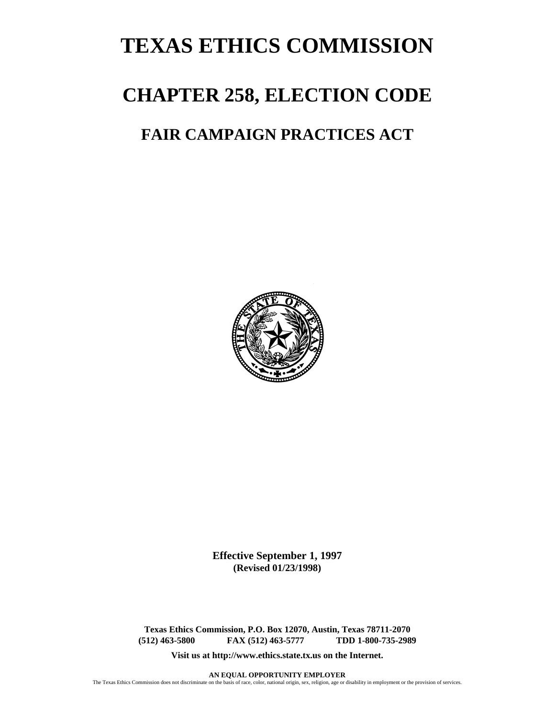# **TEXAS ETHICS COMMISSION**

## **CHAPTER 258, ELECTION CODE**

### **FAIR CAMPAIGN PRACTICES ACT**



**Effective September 1, 1997 (Revised 01/23/1998)** 

**Texas Ethics Commission, P.O. Box 12070, Austin, Texas 78711-2070 (512) 463-5800 FAX (512) 463-5777** 

**Visit us at http://www.ethics.state.tx.us on the Internet.**

**AN EQUAL OPPORTUNITY EMPLOYER**

The Texas Ethics Commission does not discriminate on the basis of race, color, national origin, sex, religion, age or disability in employment or the provision of services.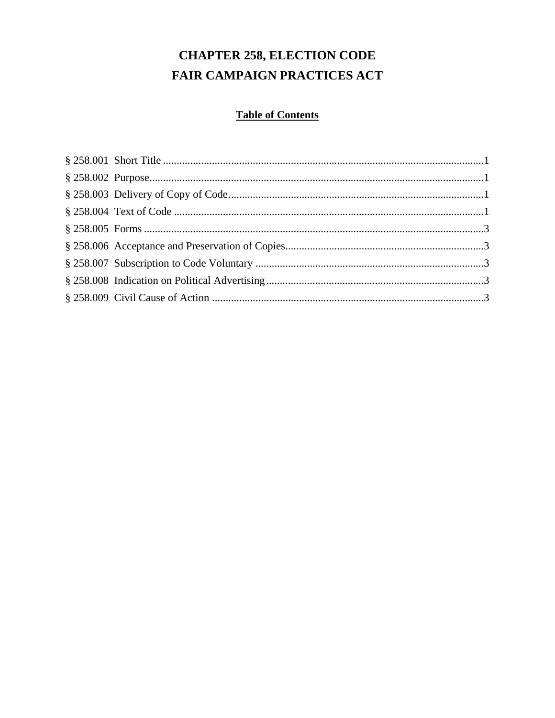## **CHAPTER 258, ELECTION CODE** FAIR CAMPAIGN PRACTICES ACT

### **Table of Contents**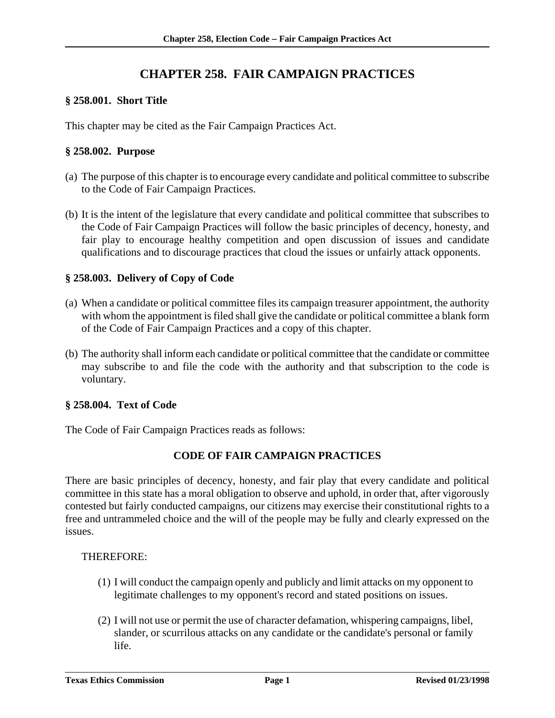### **CHAPTER 258. FAIR CAMPAIGN PRACTICES**

#### **§ 258.001. Short Title**

This chapter may be cited as the Fair Campaign Practices Act.

#### **§ 258.002. Purpose**

- (a) The purpose of this chapter is to encourage every candidate and political committee to subscribe to the Code of Fair Campaign Practices.
- (b) It is the intent of the legislature that every candidate and political committee that subscribes to the Code of Fair Campaign Practices will follow the basic principles of decency, honesty, and fair play to encourage healthy competition and open discussion of issues and candidate qualifications and to discourage practices that cloud the issues or unfairly attack opponents.

#### **§ 258.003. Delivery of Copy of Code**

- (a) When a candidate or political committee files its campaign treasurer appointment, the authority with whom the appointment is filed shall give the candidate or political committee a blank form of the Code of Fair Campaign Practices and a copy of this chapter.
- (b) The authority shall inform each candidate or political committee that the candidate or committee may subscribe to and file the code with the authority and that subscription to the code is voluntary.

#### **§ 258.004. Text of Code**

The Code of Fair Campaign Practices reads as follows:

#### **CODE OF FAIR CAMPAIGN PRACTICES**

There are basic principles of decency, honesty, and fair play that every candidate and political committee in this state has a moral obligation to observe and uphold, in order that, after vigorously contested but fairly conducted campaigns, our citizens may exercise their constitutional rights to a free and untrammeled choice and the will of the people may be fully and clearly expressed on the issues.

#### THEREFORE:

- (1) I will conduct the campaign openly and publicly and limit attacks on my opponent to legitimate challenges to my opponent's record and stated positions on issues.
- (2) I will not use or permit the use of character defamation, whispering campaigns, libel, slander, or scurrilous attacks on any candidate or the candidate's personal or family life.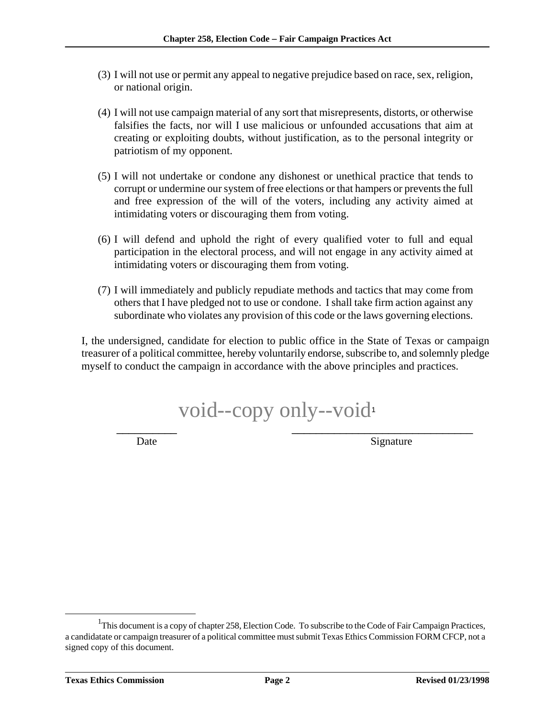- (3) I will not use or permit any appeal to negative prejudice based on race, sex, religion, or national origin.
- (4) I will not use campaign material of any sort that misrepresents, distorts, or otherwise falsifies the facts, nor will I use malicious or unfounded accusations that aim at creating or exploiting doubts, without justification, as to the personal integrity or patriotism of my opponent.
- (5) I will not undertake or condone any dishonest or unethical practice that tends to corrupt or undermine our system of free elections or that hampers or prevents the full and free expression of the will of the voters, including any activity aimed at intimidating voters or discouraging them from voting.
- (6) I will defend and uphold the right of every qualified voter to full and equal participation in the electoral process, and will not engage in any activity aimed at intimidating voters or discouraging them from voting.
- (7) I will immediately and publicly repudiate methods and tactics that may come from others that I have pledged not to use or condone. I shall take firm action against any subordinate who violates any provision of this code or the laws governing elections.

I, the undersigned, candidate for election to public office in the State of Texas or campaign treasurer of a political committee, hereby voluntarily endorse, subscribe to, and solemnly pledge myself to conduct the campaign in accordance with the above principles and practices.

void--copy only--void<sup>1</sup>  $\overline{\phantom{a}}$  ,  $\overline{\phantom{a}}$  ,  $\overline{\phantom{a}}$  ,  $\overline{\phantom{a}}$  ,  $\overline{\phantom{a}}$  ,  $\overline{\phantom{a}}$  ,  $\overline{\phantom{a}}$  ,  $\overline{\phantom{a}}$  ,  $\overline{\phantom{a}}$  ,  $\overline{\phantom{a}}$  ,  $\overline{\phantom{a}}$  ,  $\overline{\phantom{a}}$  ,  $\overline{\phantom{a}}$  ,  $\overline{\phantom{a}}$  ,  $\overline{\phantom{a}}$  ,  $\overline{\phantom{a}}$ 

Date Signature

<sup>1</sup> <sup>1</sup>This document is a copy of chapter 258, Election Code. To subscribe to the Code of Fair Campaign Practices, a candidatate or campaign treasurer of a political committee must submit Texas Ethics Commission FORM CFCP, not a signed copy of this document.